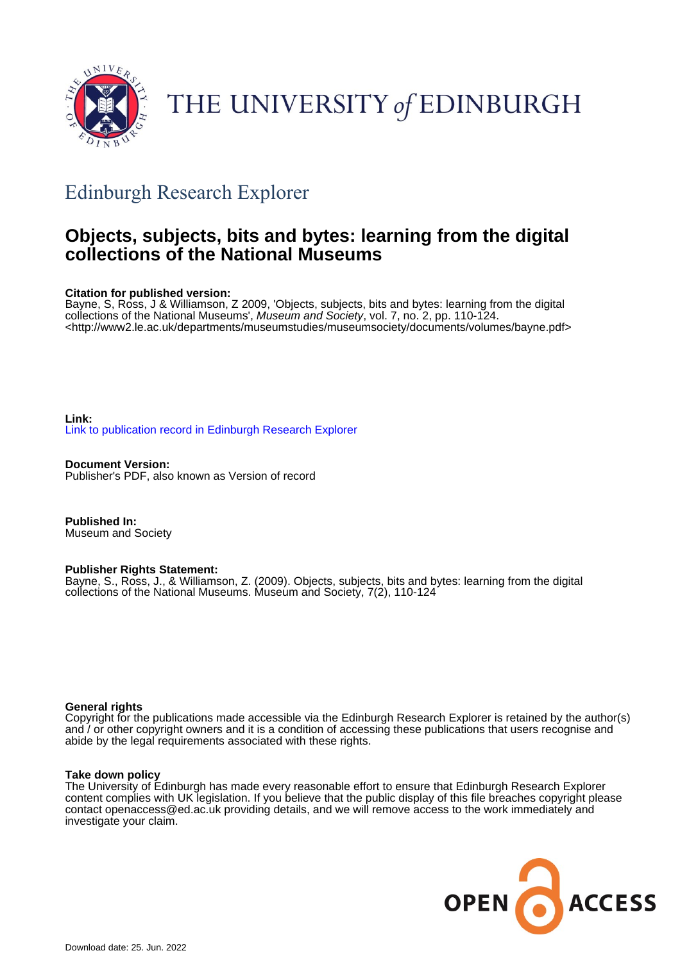

# THE UNIVERSITY of EDINBURGH

## Edinburgh Research Explorer

## **Objects, subjects, bits and bytes: learning from the digital collections of the National Museums**

#### **Citation for published version:**

Bayne, S, Ross, J & Williamson, Z 2009, 'Objects, subjects, bits and bytes: learning from the digital collections of the National Museums', Museum and Society, vol. 7, no. 2, pp. 110-124. <<http://www2.le.ac.uk/departments/museumstudies/museumsociety/documents/volumes/bayne.pdf>>

**Link:** [Link to publication record in Edinburgh Research Explorer](https://www.research.ed.ac.uk/en/publications/53f233fe-8f5e-4732-af20-63a52221e3d1)

**Document Version:** Publisher's PDF, also known as Version of record

**Published In:** Museum and Society

#### **Publisher Rights Statement:**

Bayne, S., Ross, J., & Williamson, Z. (2009). Objects, subjects, bits and bytes: learning from the digital collections of the National Museums. Museum and Society, 7(2), 110-124

#### **General rights**

Copyright for the publications made accessible via the Edinburgh Research Explorer is retained by the author(s) and / or other copyright owners and it is a condition of accessing these publications that users recognise and abide by the legal requirements associated with these rights.

#### **Take down policy**

The University of Edinburgh has made every reasonable effort to ensure that Edinburgh Research Explorer content complies with UK legislation. If you believe that the public display of this file breaches copyright please contact openaccess@ed.ac.uk providing details, and we will remove access to the work immediately and investigate your claim.

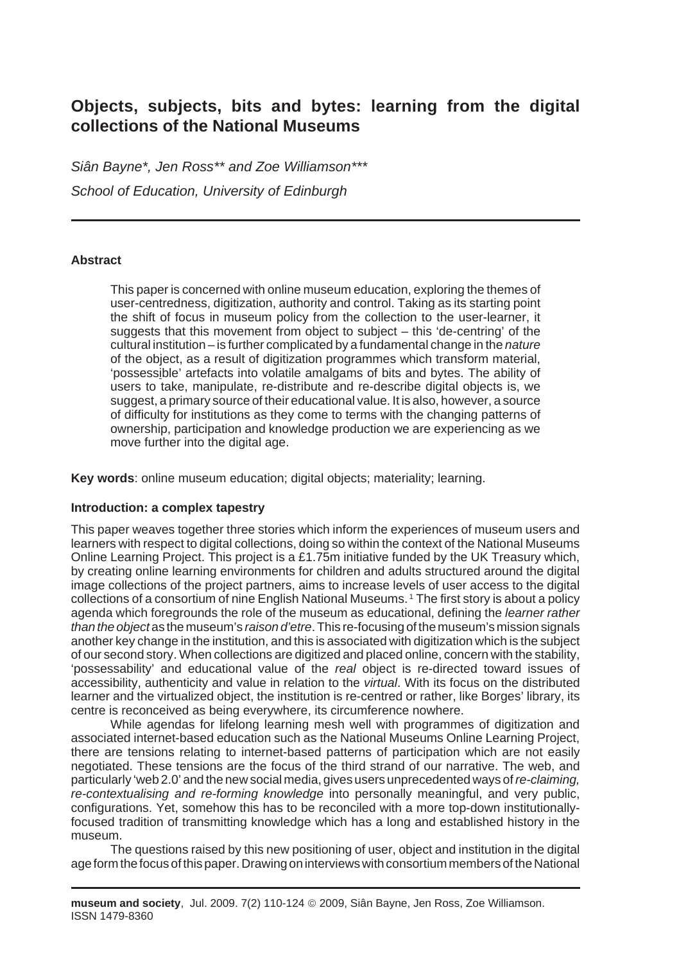### **Objects, subjects, bits and bytes: learning from the digital collections of the National Museums**

*Siân Bayne\*, Jen Ross\*\* and Zoe Williamson\*\*\* School of Education, University of Edinburgh*

#### **Abstract**

This paper is concerned with online museum education, exploring the themes of user-centredness, digitization, authority and control. Taking as its starting point the shift of focus in museum policy from the collection to the user-learner, it suggests that this movement from object to subject – this 'de-centring' of the cultural institution – is further complicated by a fundamental change in the *nature* of the object, as a result of digitization programmes which transform material, 'possessible' artefacts into volatile amalgams of bits and bytes. The ability of users to take, manipulate, re-distribute and re-describe digital objects is, we suggest, a primary source of their educational value. It is also, however, a source of difficulty for institutions as they come to terms with the changing patterns of ownership, participation and knowledge production we are experiencing as we move further into the digital age.

**Key words**: online museum education; digital objects; materiality; learning.

#### **Introduction: a complex tapestry**

This paper weaves together three stories which inform the experiences of museum users and learners with respect to digital collections, doing so within the context of the National Museums Online Learning Project. This project is a £1.75m initiative funded by the UK Treasury which, by creating online learning environments for children and adults structured around the digital image collections of the project partners, aims to increase levels of user access to the digital collections of a consortium of nine English National Museums. 1 The first story is about a policy agenda which foregrounds the role of the museum as educational, defining the *learner rather than the object* as the museum's *raison d'etre*. This re-focusing of the museum's mission signals another key change in the institution, and this is associated with digitization which is the subject of our second story. When collections are digitized and placed online, concern with the stability, 'possessability' and educational value of the *real* object is re-directed toward issues of accessibility, authenticity and value in relation to the *virtual*. With its focus on the distributed learner and the virtualized object, the institution is re-centred or rather, like Borges' library, its centre is reconceived as being everywhere, its circumference nowhere.

While agendas for lifelong learning mesh well with programmes of digitization and associated internet-based education such as the National Museums Online Learning Project, there are tensions relating to internet-based patterns of participation which are not easily negotiated. These tensions are the focus of the third strand of our narrative. The web, and particularly 'web 2.0' and the new social media, gives users unprecedented ways of *re-claiming, re-contextualising and re-forming knowledge* into personally meaningful, and very public, configurations. Yet, somehow this has to be reconciled with a more top-down institutionallyfocused tradition of transmitting knowledge which has a long and established history in the museum.

The questions raised by this new positioning of user, object and institution in the digital age form the focus of this paper. Drawing on interviews with consortium members of the National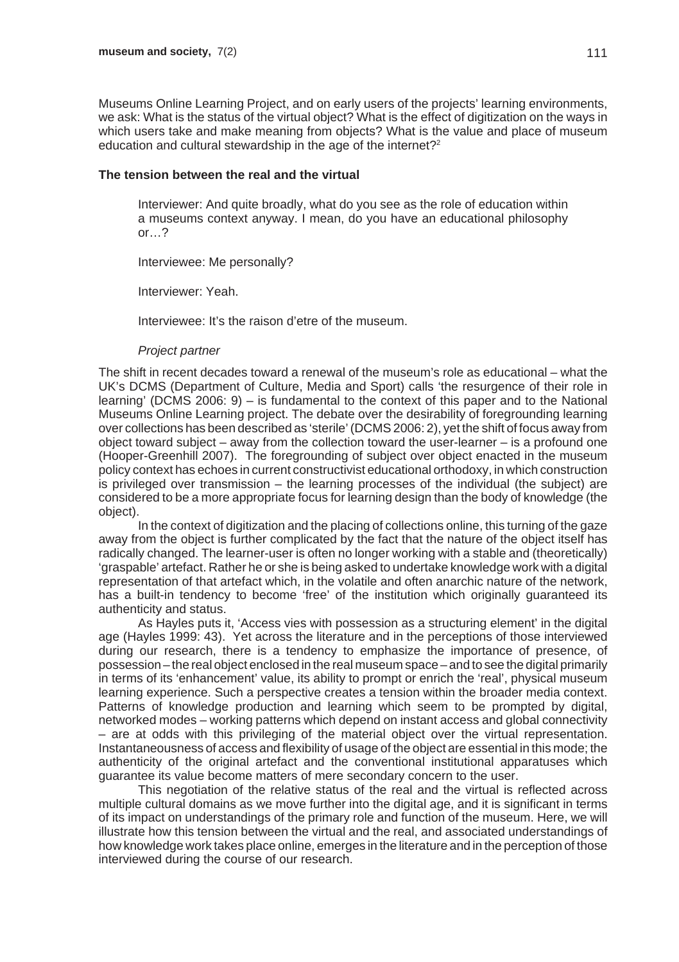Museums Online Learning Project, and on early users of the projects' learning environments, we ask: What is the status of the virtual object? What is the effect of digitization on the ways in which users take and make meaning from objects? What is the value and place of museum education and cultural stewardship in the age of the internet?<sup>2</sup>

#### **The tension between the real and the virtual**

Interviewer: And quite broadly, what do you see as the role of education within a museums context anyway. I mean, do you have an educational philosophy or…?

Interviewee: Me personally?

Interviewer: Yeah.

Interviewee: It's the raison d'etre of the museum.

#### *Project partner*

The shift in recent decades toward a renewal of the museum's role as educational – what the UK's DCMS (Department of Culture, Media and Sport) calls 'the resurgence of their role in learning' (DCMS 2006: 9) – is fundamental to the context of this paper and to the National Museums Online Learning project. The debate over the desirability of foregrounding learning over collections has been described as 'sterile' (DCMS 2006: 2), yet the shift of focus away from object toward subject – away from the collection toward the user-learner  $-$  is a profound one (Hooper-Greenhill 2007). The foregrounding of subject over object enacted in the museum policy context has echoes in current constructivist educational orthodoxy, in which construction is privileged over transmission – the learning processes of the individual (the subject) are considered to be a more appropriate focus for learning design than the body of knowledge (the object).

In the context of digitization and the placing of collections online, this turning of the gaze away from the object is further complicated by the fact that the nature of the object itself has radically changed. The learner-user is often no longer working with a stable and (theoretically) 'graspable' artefact. Rather he or she is being asked to undertake knowledge work with a digital representation of that artefact which, in the volatile and often anarchic nature of the network, has a built-in tendency to become 'free' of the institution which originally guaranteed its authenticity and status.

As Hayles puts it, 'Access vies with possession as a structuring element' in the digital age (Hayles 1999: 43). Yet across the literature and in the perceptions of those interviewed during our research, there is a tendency to emphasize the importance of presence, of possession – the real object enclosed in the real museum space – and to see the digital primarily in terms of its 'enhancement' value, its ability to prompt or enrich the 'real', physical museum learning experience. Such a perspective creates a tension within the broader media context. Patterns of knowledge production and learning which seem to be prompted by digital, networked modes – working patterns which depend on instant access and global connectivity – are at odds with this privileging of the material object over the virtual representation. Instantaneousness of access and flexibility of usage of the object are essential in this mode; the authenticity of the original artefact and the conventional institutional apparatuses which guarantee its value become matters of mere secondary concern to the user.

This negotiation of the relative status of the real and the virtual is reflected across multiple cultural domains as we move further into the digital age, and it is significant in terms of its impact on understandings of the primary role and function of the museum. Here, we will illustrate how this tension between the virtual and the real, and associated understandings of how knowledge work takes place online, emerges in the literature and in the perception of those interviewed during the course of our research.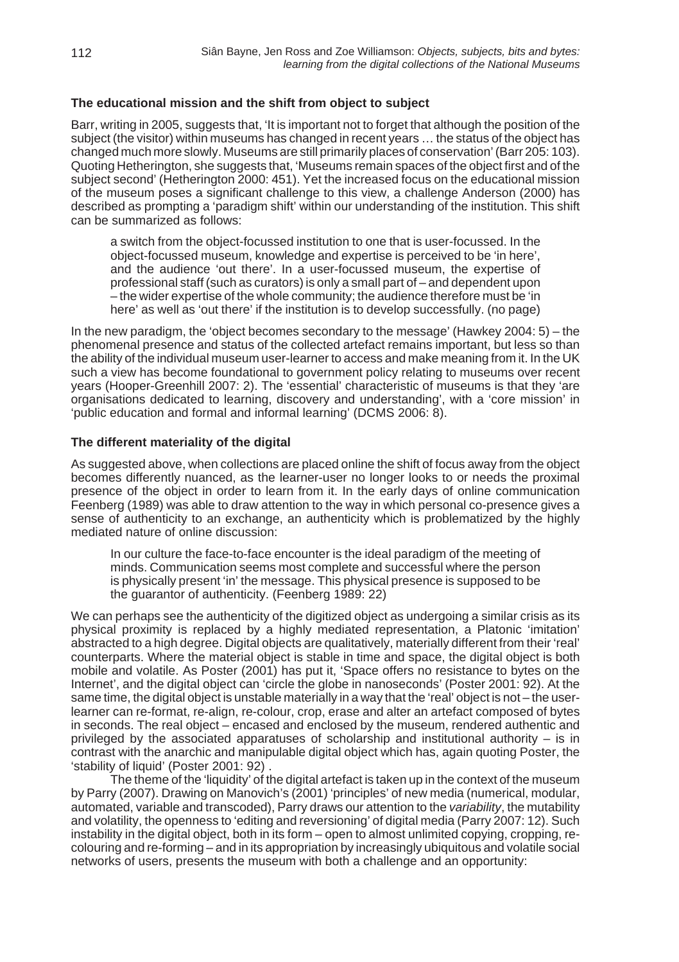#### **The educational mission and the shift from object to subject**

Barr, writing in 2005, suggests that, 'It is important not to forget that although the position of the subject (the visitor) within museums has changed in recent years … the status of the object has changed much more slowly. Museums are still primarily places of conservation' (Barr 205: 103). Quoting Hetherington, she suggests that, 'Museums remain spaces of the object first and of the subject second' (Hetherington 2000: 451). Yet the increased focus on the educational mission of the museum poses a significant challenge to this view, a challenge Anderson (2000) has described as prompting a 'paradigm shift' within our understanding of the institution. This shift can be summarized as follows:

a switch from the object-focussed institution to one that is user-focussed. In the object-focussed museum, knowledge and expertise is perceived to be 'in here', and the audience 'out there'. In a user-focussed museum, the expertise of professional staff (such as curators) is only a small part of – and dependent upon – the wider expertise of the whole community; the audience therefore must be 'in here' as well as 'out there' if the institution is to develop successfully. (no page)

In the new paradigm, the 'object becomes secondary to the message' (Hawkey 2004: 5) – the phenomenal presence and status of the collected artefact remains important, but less so than the ability of the individual museum user-learner to access and make meaning from it. In the UK such a view has become foundational to government policy relating to museums over recent years (Hooper-Greenhill 2007: 2). The 'essential' characteristic of museums is that they 'are organisations dedicated to learning, discovery and understanding', with a 'core mission' in 'public education and formal and informal learning' (DCMS 2006: 8).

#### **The different materiality of the digital**

As suggested above, when collections are placed online the shift of focus away from the object becomes differently nuanced, as the learner-user no longer looks to or needs the proximal presence of the object in order to learn from it. In the early days of online communication Feenberg (1989) was able to draw attention to the way in which personal co-presence gives a sense of authenticity to an exchange, an authenticity which is problematized by the highly mediated nature of online discussion:

In our culture the face-to-face encounter is the ideal paradigm of the meeting of minds. Communication seems most complete and successful where the person is physically present 'in' the message. This physical presence is supposed to be the guarantor of authenticity. (Feenberg 1989: 22)

We can perhaps see the authenticity of the digitized object as undergoing a similar crisis as its physical proximity is replaced by a highly mediated representation, a Platonic 'imitation' abstracted to a high degree. Digital objects are qualitatively, materially different from their 'real' counterparts. Where the material object is stable in time and space, the digital object is both mobile and volatile. As Poster (2001) has put it, 'Space offers no resistance to bytes on the Internet', and the digital object can 'circle the globe in nanoseconds' (Poster 2001: 92). At the same time, the digital object is unstable materially in a way that the 'real' object is not – the userlearner can re-format, re-align, re-colour, crop, erase and alter an artefact composed of bytes in seconds. The real object – encased and enclosed by the museum, rendered authentic and privileged by the associated apparatuses of scholarship and institutional authority – is in contrast with the anarchic and manipulable digital object which has, again quoting Poster, the 'stability of liquid' (Poster 2001: 92) .

The theme of the 'liquidity' of the digital artefact is taken up in the context of the museum by Parry (2007). Drawing on Manovich's (2001) 'principles' of new media (numerical, modular, automated, variable and transcoded), Parry draws our attention to the *variability*, the mutability and volatility, the openness to 'editing and reversioning' of digital media (Parry 2007: 12). Such instability in the digital object, both in its form – open to almost unlimited copying, cropping, recolouring and re-forming – and in its appropriation by increasingly ubiquitous and volatile social networks of users, presents the museum with both a challenge and an opportunity: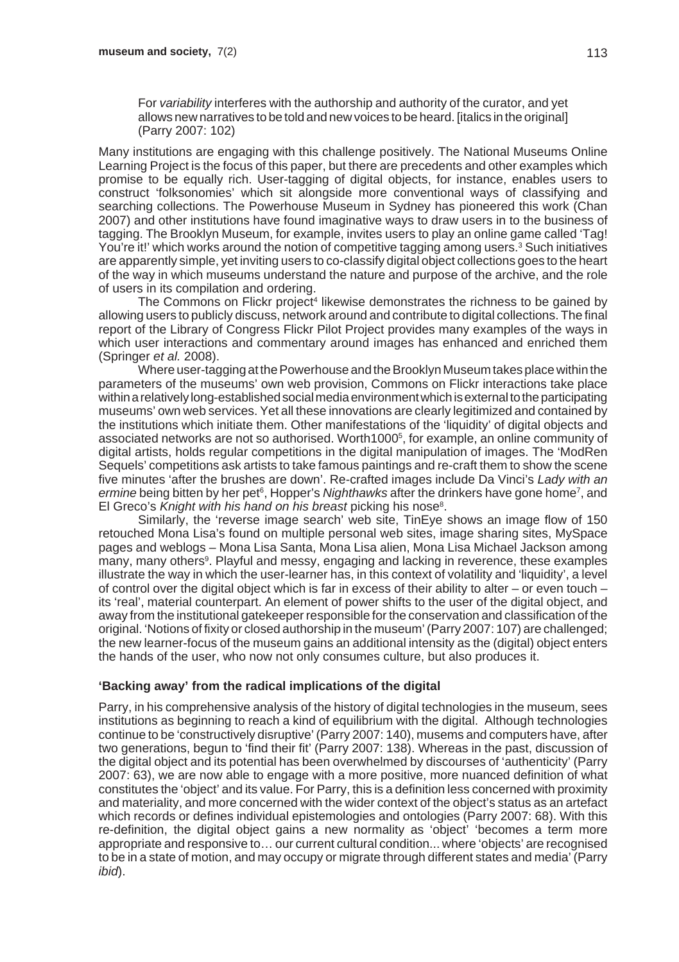For *variability* interferes with the authorship and authority of the curator, and yet allows new narratives to be told and new voices to be heard. [italics in the original] (Parry 2007: 102)

Many institutions are engaging with this challenge positively. The National Museums Online Learning Project is the focus of this paper, but there are precedents and other examples which promise to be equally rich. User-tagging of digital objects, for instance, enables users to construct 'folksonomies' which sit alongside more conventional ways of classifying and searching collections. The Powerhouse Museum in Sydney has pioneered this work (Chan 2007) and other institutions have found imaginative ways to draw users in to the business of tagging. The Brooklyn Museum, for example, invites users to play an online game called 'Tag! You're it!' which works around the notion of competitive tagging among users.<sup>3</sup> Such initiatives are apparently simple, yet inviting users to co-classify digital object collections goes to the heart of the way in which museums understand the nature and purpose of the archive, and the role of users in its compilation and ordering.

The Commons on Flickr project<sup>4</sup> likewise demonstrates the richness to be gained by allowing users to publicly discuss, network around and contribute to digital collections. The final report of the Library of Congress Flickr Pilot Project provides many examples of the ways in which user interactions and commentary around images has enhanced and enriched them (Springer *et al.* 2008).

Where user-tagging at the Powerhouse and the Brooklyn Museum takes place within the parameters of the museums' own web provision, Commons on Flickr interactions take place within a relatively long-established social media environment which is external to the participating museums' own web services. Yet all these innovations are clearly legitimized and contained by the institutions which initiate them. Other manifestations of the 'liquidity' of digital objects and associated networks are not so authorised. Worth10005 , for example, an online community of digital artists, holds regular competitions in the digital manipulation of images. The 'ModRen Sequels' competitions ask artists to take famous paintings and re-craft them to show the scene five minutes 'after the brushes are down'. Re-crafted images include Da Vinci's *Lady with an* ermine being bitten by her pet<sup>6</sup>, Hopper's Nighthawks after the drinkers have gone home<sup>7</sup>, and El Greco's Knight with his hand on his breast picking his nose<sup>8</sup>.

Similarly, the 'reverse image search' web site, TinEye shows an image flow of 150 retouched Mona Lisa's found on multiple personal web sites, image sharing sites, MySpace pages and weblogs – Mona Lisa Santa, Mona Lisa alien, Mona Lisa Michael Jackson among many, many others<sup>9</sup>. Playful and messy, engaging and lacking in reverence, these examples illustrate the way in which the user-learner has, in this context of volatility and 'liquidity', a level of control over the digital object which is far in excess of their ability to alter – or even touch – its 'real', material counterpart. An element of power shifts to the user of the digital object, and away from the institutional gatekeeper responsible for the conservation and classification of the original. 'Notions of fixity or closed authorship in the museum' (Parry 2007: 107) are challenged; the new learner-focus of the museum gains an additional intensity as the (digital) object enters the hands of the user, who now not only consumes culture, but also produces it.

#### **'Backing away' from the radical implications of the digital**

Parry, in his comprehensive analysis of the history of digital technologies in the museum, sees institutions as beginning to reach a kind of equilibrium with the digital. Although technologies continue to be 'constructively disruptive' (Parry 2007: 140), musems and computers have, after two generations, begun to 'find their fit' (Parry 2007: 138). Whereas in the past, discussion of the digital object and its potential has been overwhelmed by discourses of 'authenticity' (Parry 2007: 63), we are now able to engage with a more positive, more nuanced definition of what constitutes the 'object' and its value. For Parry, this is a definition less concerned with proximity and materiality, and more concerned with the wider context of the object's status as an artefact which records or defines individual epistemologies and ontologies (Parry 2007: 68). With this re-definition, the digital object gains a new normality as 'object' 'becomes a term more appropriate and responsive to… our current cultural condition... where 'objects' are recognised to be in a state of motion, and may occupy or migrate through different states and media' (Parry *ibid*).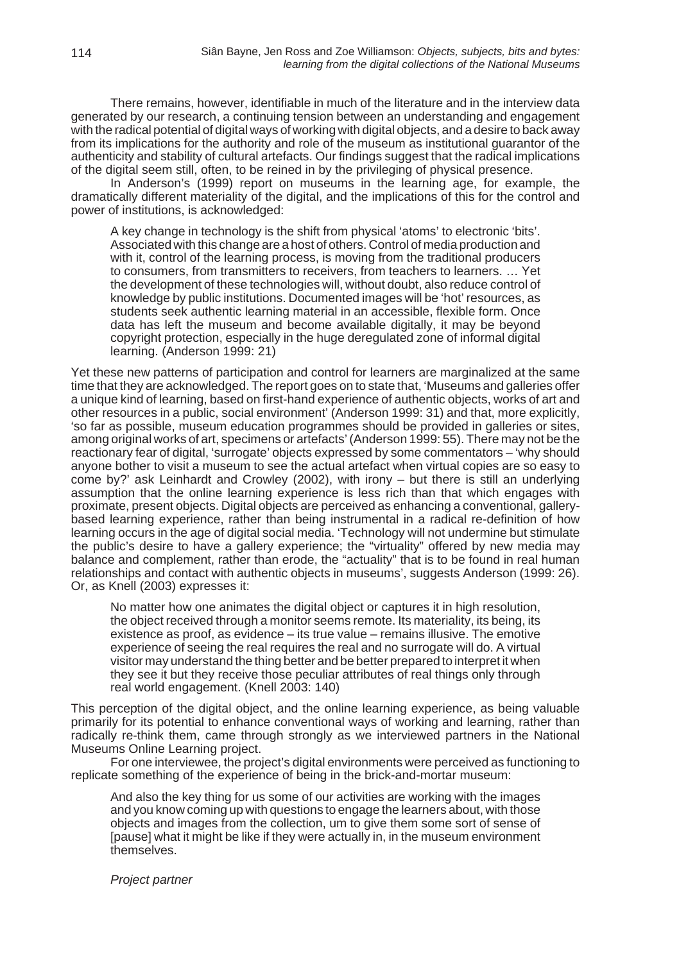There remains, however, identifiable in much of the literature and in the interview data generated by our research, a continuing tension between an understanding and engagement with the radical potential of digital ways of working with digital objects, and a desire to back away from its implications for the authority and role of the museum as institutional guarantor of the authenticity and stability of cultural artefacts. Our findings suggest that the radical implications of the digital seem still, often, to be reined in by the privileging of physical presence.

In Anderson's (1999) report on museums in the learning age, for example, the dramatically different materiality of the digital, and the implications of this for the control and power of institutions, is acknowledged:

A key change in technology is the shift from physical 'atoms' to electronic 'bits'. Associated with this change are a host of others. Control of media production and with it, control of the learning process, is moving from the traditional producers to consumers, from transmitters to receivers, from teachers to learners. … Yet the development of these technologies will, without doubt, also reduce control of knowledge by public institutions. Documented images will be 'hot' resources, as students seek authentic learning material in an accessible, flexible form. Once data has left the museum and become available digitally, it may be beyond copyright protection, especially in the huge deregulated zone of informal digital learning. (Anderson 1999: 21)

Yet these new patterns of participation and control for learners are marginalized at the same time that they are acknowledged. The report goes on to state that, 'Museums and galleries offer a unique kind of learning, based on first-hand experience of authentic objects, works of art and other resources in a public, social environment' (Anderson 1999: 31) and that, more explicitly, 'so far as possible, museum education programmes should be provided in galleries or sites, among original works of art, specimens or artefacts' (Anderson 1999: 55). There may not be the reactionary fear of digital, 'surrogate' objects expressed by some commentators – 'why should anyone bother to visit a museum to see the actual artefact when virtual copies are so easy to come by?' ask Leinhardt and Crowley (2002), with irony – but there is still an underlying assumption that the online learning experience is less rich than that which engages with proximate, present objects. Digital objects are perceived as enhancing a conventional, gallerybased learning experience, rather than being instrumental in a radical re-definition of how learning occurs in the age of digital social media. 'Technology will not undermine but stimulate the public's desire to have a gallery experience; the "virtuality" offered by new media may balance and complement, rather than erode, the "actuality" that is to be found in real human relationships and contact with authentic objects in museums', suggests Anderson (1999: 26). Or, as Knell (2003) expresses it:

No matter how one animates the digital object or captures it in high resolution, the object received through a monitor seems remote. Its materiality, its being, its existence as proof, as evidence – its true value – remains illusive. The emotive experience of seeing the real requires the real and no surrogate will do. A virtual visitor may understand the thing better and be better prepared to interpret it when they see it but they receive those peculiar attributes of real things only through real world engagement. (Knell 2003: 140)

This perception of the digital object, and the online learning experience, as being valuable primarily for its potential to enhance conventional ways of working and learning, rather than radically re-think them, came through strongly as we interviewed partners in the National Museums Online Learning project.

For one interviewee, the project's digital environments were perceived as functioning to replicate something of the experience of being in the brick-and-mortar museum:

And also the key thing for us some of our activities are working with the images and you know coming up with questions to engage the learners about, with those objects and images from the collection, um to give them some sort of sense of [pause] what it might be like if they were actually in, in the museum environment themselves.

*Project partner*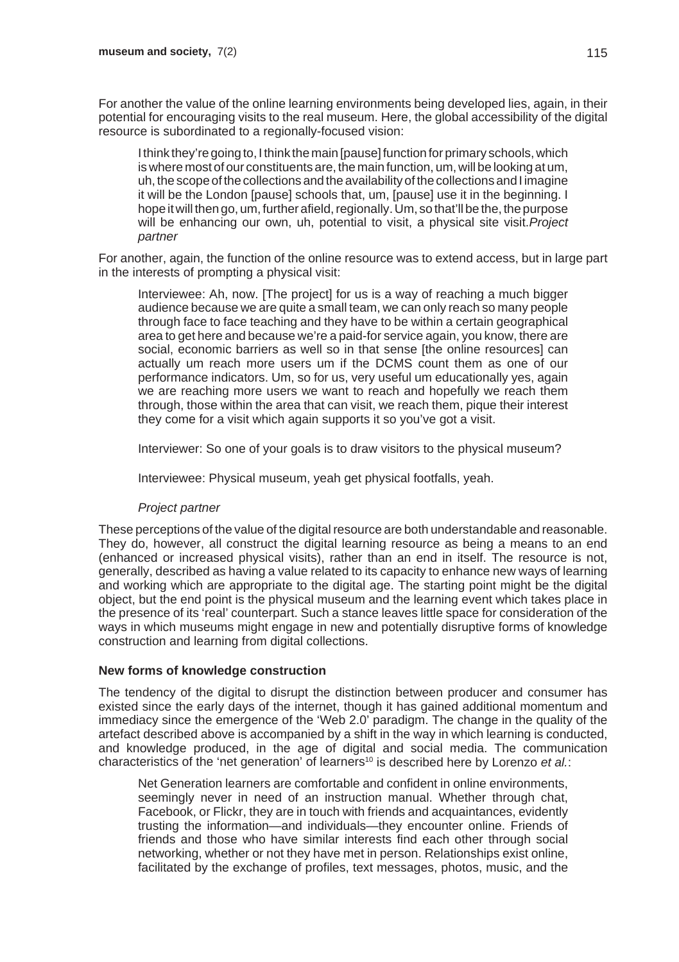For another the value of the online learning environments being developed lies, again, in their potential for encouraging visits to the real museum. Here, the global accessibility of the digital resource is subordinated to a regionally-focused vision:

I think they're going to, I think the main [pause] function for primary schools, which is where most of our constituents are, the main function, um, will be looking at um, uh, the scope of the collections and the availability of the collections and I imagine it will be the London [pause] schools that, um, [pause] use it in the beginning. I hope it will then go, um, further afield, regionally. Um, so that'll be the, the purpose will be enhancing our own, uh, potential to visit, a physical site visit.*Project partner*

For another, again, the function of the online resource was to extend access, but in large part in the interests of prompting a physical visit:

Interviewee: Ah, now. [The project] for us is a way of reaching a much bigger audience because we are quite a small team, we can only reach so many people through face to face teaching and they have to be within a certain geographical area to get here and because we're a paid-for service again, you know, there are social, economic barriers as well so in that sense [the online resources] can actually um reach more users um if the DCMS count them as one of our performance indicators. Um, so for us, very useful um educationally yes, again we are reaching more users we want to reach and hopefully we reach them through, those within the area that can visit, we reach them, pique their interest they come for a visit which again supports it so you've got a visit.

Interviewer: So one of your goals is to draw visitors to the physical museum?

Interviewee: Physical museum, yeah get physical footfalls, yeah.

#### *Project partner*

These perceptions of the value of the digital resource are both understandable and reasonable. They do, however, all construct the digital learning resource as being a means to an end (enhanced or increased physical visits), rather than an end in itself. The resource is not, generally, described as having a value related to its capacity to enhance new ways of learning and working which are appropriate to the digital age. The starting point might be the digital object, but the end point is the physical museum and the learning event which takes place in the presence of its 'real' counterpart. Such a stance leaves little space for consideration of the ways in which museums might engage in new and potentially disruptive forms of knowledge construction and learning from digital collections.

#### **New forms of knowledge construction**

The tendency of the digital to disrupt the distinction between producer and consumer has existed since the early days of the internet, though it has gained additional momentum and immediacy since the emergence of the 'Web 2.0' paradigm. The change in the quality of the artefact described above is accompanied by a shift in the way in which learning is conducted, and knowledge produced, in the age of digital and social media. The communication characteristics of the 'net generation' of learners<sup>10</sup> is described here by Lorenzo *et al.*:

Net Generation learners are comfortable and confident in online environments, seemingly never in need of an instruction manual. Whether through chat, Facebook, or Flickr, they are in touch with friends and acquaintances, evidently trusting the information—and individuals—they encounter online. Friends of friends and those who have similar interests find each other through social networking, whether or not they have met in person. Relationships exist online, facilitated by the exchange of profiles, text messages, photos, music, and the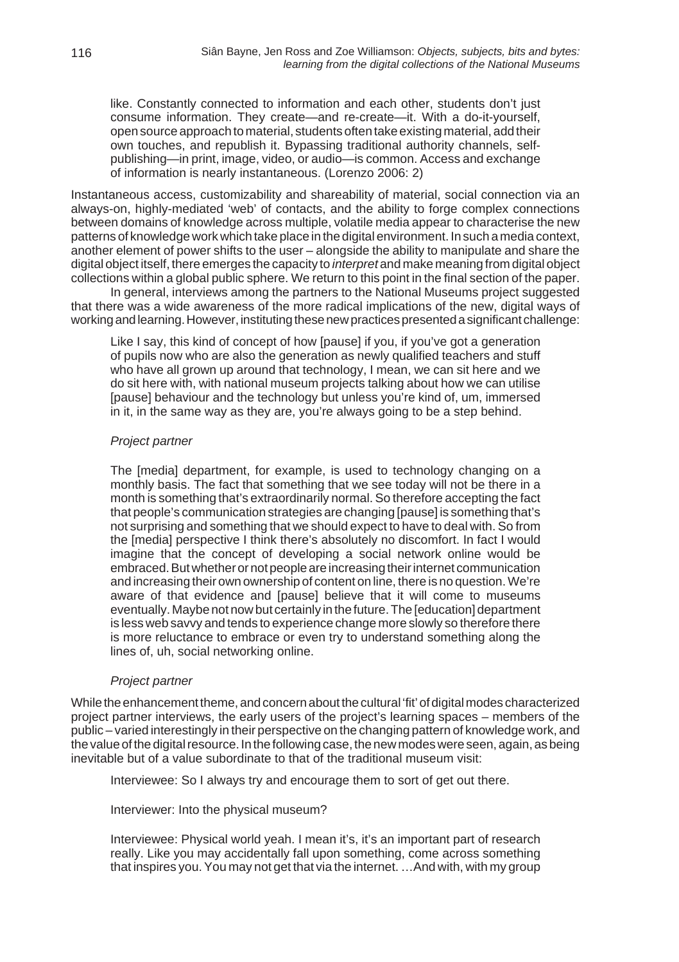like. Constantly connected to information and each other, students don't just consume information. They create—and re-create—it. With a do-it-yourself, open source approach to material, students often take existing material, add their own touches, and republish it. Bypassing traditional authority channels, selfpublishing—in print, image, video, or audio—is common. Access and exchange of information is nearly instantaneous. (Lorenzo 2006: 2)

Instantaneous access, customizability and shareability of material, social connection via an always-on, highly-mediated 'web' of contacts, and the ability to forge complex connections between domains of knowledge across multiple, volatile media appear to characterise the new patterns of knowledge work which take place in the digital environment. In such a media context, another element of power shifts to the user – alongside the ability to manipulate and share the digital object itself, there emerges the capacity to *interpret* and make meaning from digital object collections within a global public sphere. We return to this point in the final section of the paper.

In general, interviews among the partners to the National Museums project suggested that there was a wide awareness of the more radical implications of the new, digital ways of working and learning. However, instituting these new practices presented a significant challenge:

Like I say, this kind of concept of how [pause] if you, if you've got a generation of pupils now who are also the generation as newly qualified teachers and stuff who have all grown up around that technology, I mean, we can sit here and we do sit here with, with national museum projects talking about how we can utilise [pause] behaviour and the technology but unless you're kind of, um, immersed in it, in the same way as they are, you're always going to be a step behind.

#### *Project partner*

The [media] department, for example, is used to technology changing on a monthly basis. The fact that something that we see today will not be there in a month is something that's extraordinarily normal. So therefore accepting the fact that people's communication strategies are changing [pause] is something that's not surprising and something that we should expect to have to deal with. So from the [media] perspective I think there's absolutely no discomfort. In fact I would imagine that the concept of developing a social network online would be embraced. But whether or not people are increasing their internet communication and increasing their own ownership of content on line, there is no question. We're aware of that evidence and [pause] believe that it will come to museums eventually. Maybe not now but certainly in the future. The [education] department is less web savvy and tends to experience change more slowly so therefore there is more reluctance to embrace or even try to understand something along the lines of, uh, social networking online.

#### *Project partner*

While the enhancement theme, and concern about the cultural 'fit' of digital modes characterized project partner interviews, the early users of the project's learning spaces – members of the public – varied interestingly in their perspective on the changing pattern of knowledge work, and the value of the digital resource. In the following case, the new modes were seen, again, as being inevitable but of a value subordinate to that of the traditional museum visit:

Interviewee: So I always try and encourage them to sort of get out there.

Interviewer: Into the physical museum?

Interviewee: Physical world yeah. I mean it's, it's an important part of research really. Like you may accidentally fall upon something, come across something that inspires you. You may not get that via the internet. …And with, with my group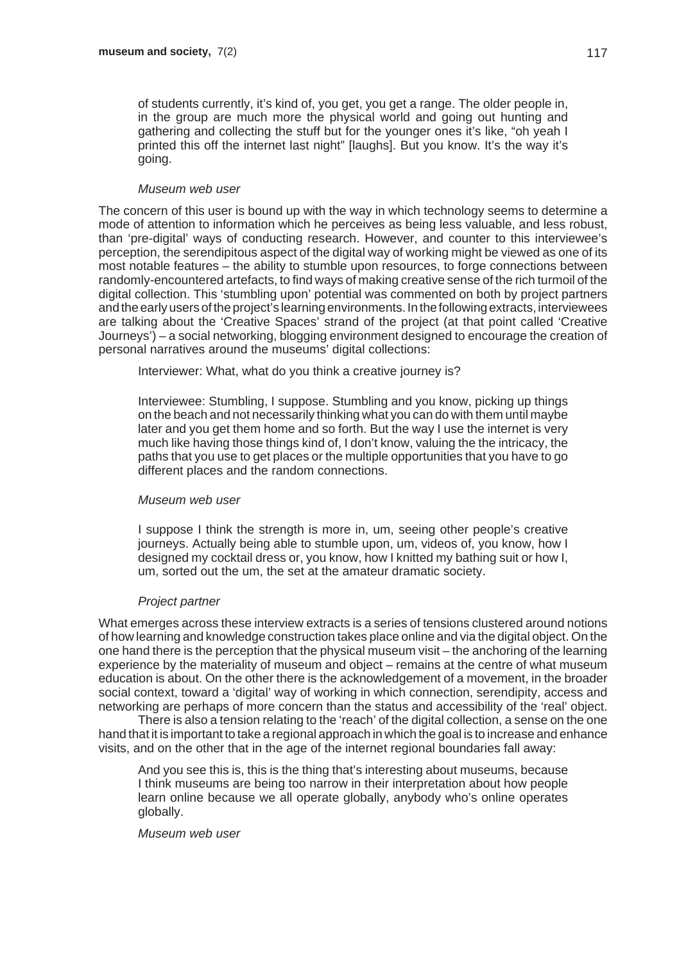of students currently, it's kind of, you get, you get a range. The older people in, in the group are much more the physical world and going out hunting and gathering and collecting the stuff but for the younger ones it's like, "oh yeah I printed this off the internet last night" [laughs]. But you know. It's the way it's going.

#### *Museum web user*

The concern of this user is bound up with the way in which technology seems to determine a mode of attention to information which he perceives as being less valuable, and less robust, than 'pre-digital' ways of conducting research. However, and counter to this interviewee's perception, the serendipitous aspect of the digital way of working might be viewed as one of its most notable features – the ability to stumble upon resources, to forge connections between randomly-encountered artefacts, to find ways of making creative sense of the rich turmoil of the digital collection. This 'stumbling upon' potential was commented on both by project partners and the early users of the project's learning environments. In the following extracts, interviewees are talking about the 'Creative Spaces' strand of the project (at that point called 'Creative Journeys') – a social networking, blogging environment designed to encourage the creation of personal narratives around the museums' digital collections:

Interviewer: What, what do you think a creative journey is?

Interviewee: Stumbling, I suppose. Stumbling and you know, picking up things on the beach and not necessarily thinking what you can do with them until maybe later and you get them home and so forth. But the way I use the internet is very much like having those things kind of, I don't know, valuing the the intricacy, the paths that you use to get places or the multiple opportunities that you have to go different places and the random connections.

#### *Museum web user*

I suppose I think the strength is more in, um, seeing other people's creative journeys. Actually being able to stumble upon, um, videos of, you know, how I designed my cocktail dress or, you know, how I knitted my bathing suit or how I, um, sorted out the um, the set at the amateur dramatic society.

#### *Project partner*

What emerges across these interview extracts is a series of tensions clustered around notions of how learning and knowledge construction takes place online and via the digital object. On the one hand there is the perception that the physical museum visit – the anchoring of the learning experience by the materiality of museum and object – remains at the centre of what museum education is about. On the other there is the acknowledgement of a movement, in the broader social context, toward a 'digital' way of working in which connection, serendipity, access and networking are perhaps of more concern than the status and accessibility of the 'real' object.

There is also a tension relating to the 'reach' of the digital collection, a sense on the one hand that it is important to take a regional approach in which the goal is to increase and enhance visits, and on the other that in the age of the internet regional boundaries fall away:

And you see this is, this is the thing that's interesting about museums, because I think museums are being too narrow in their interpretation about how people learn online because we all operate globally, anybody who's online operates globally.

*Museum web user*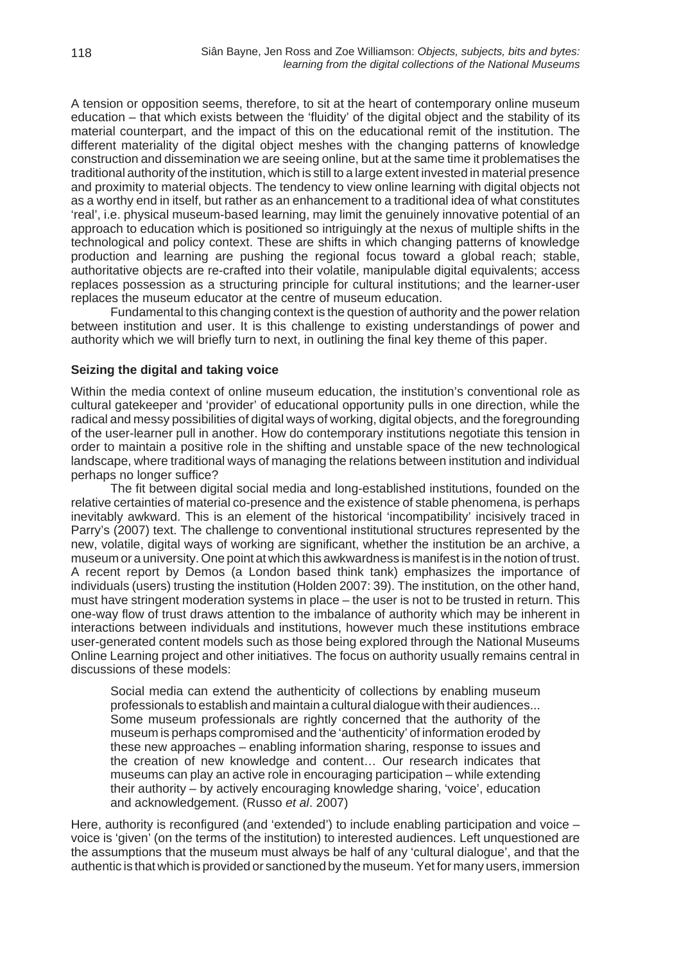A tension or opposition seems, therefore, to sit at the heart of contemporary online museum education – that which exists between the 'fluidity' of the digital object and the stability of its material counterpart, and the impact of this on the educational remit of the institution. The different materiality of the digital object meshes with the changing patterns of knowledge construction and dissemination we are seeing online, but at the same time it problematises the traditional authority of the institution, which is still to a large extent invested in material presence and proximity to material objects. The tendency to view online learning with digital objects not as a worthy end in itself, but rather as an enhancement to a traditional idea of what constitutes 'real', i.e. physical museum-based learning, may limit the genuinely innovative potential of an approach to education which is positioned so intriguingly at the nexus of multiple shifts in the technological and policy context. These are shifts in which changing patterns of knowledge production and learning are pushing the regional focus toward a global reach; stable, authoritative objects are re-crafted into their volatile, manipulable digital equivalents; access replaces possession as a structuring principle for cultural institutions; and the learner-user replaces the museum educator at the centre of museum education.

Fundamental to this changing context is the question of authority and the power relation between institution and user. It is this challenge to existing understandings of power and authority which we will briefly turn to next, in outlining the final key theme of this paper.

#### **Seizing the digital and taking voice**

Within the media context of online museum education, the institution's conventional role as cultural gatekeeper and 'provider' of educational opportunity pulls in one direction, while the radical and messy possibilities of digital ways of working, digital objects, and the foregrounding of the user-learner pull in another. How do contemporary institutions negotiate this tension in order to maintain a positive role in the shifting and unstable space of the new technological landscape, where traditional ways of managing the relations between institution and individual perhaps no longer suffice?

The fit between digital social media and long-established institutions, founded on the relative certainties of material co-presence and the existence of stable phenomena, is perhaps inevitably awkward. This is an element of the historical 'incompatibility' incisively traced in Parry's (2007) text. The challenge to conventional institutional structures represented by the new, volatile, digital ways of working are significant, whether the institution be an archive, a museum or a university. One point at which this awkwardness is manifest is in the notion of trust. A recent report by Demos (a London based think tank) emphasizes the importance of individuals (users) trusting the institution (Holden 2007: 39). The institution, on the other hand, must have stringent moderation systems in place – the user is not to be trusted in return. This one-way flow of trust draws attention to the imbalance of authority which may be inherent in interactions between individuals and institutions, however much these institutions embrace user-generated content models such as those being explored through the National Museums Online Learning project and other initiatives. The focus on authority usually remains central in discussions of these models:

Social media can extend the authenticity of collections by enabling museum professionals to establish and maintain a cultural dialogue with their audiences... Some museum professionals are rightly concerned that the authority of the museum is perhaps compromised and the 'authenticity' of information eroded by these new approaches – enabling information sharing, response to issues and the creation of new knowledge and content… Our research indicates that museums can play an active role in encouraging participation – while extending their authority – by actively encouraging knowledge sharing, 'voice', education and acknowledgement. (Russo *et al*. 2007)

Here, authority is reconfigured (and 'extended') to include enabling participation and voice – voice is 'given' (on the terms of the institution) to interested audiences. Left unquestioned are the assumptions that the museum must always be half of any 'cultural dialogue', and that the authentic is that which is provided or sanctioned by the museum. Yet for many users, immersion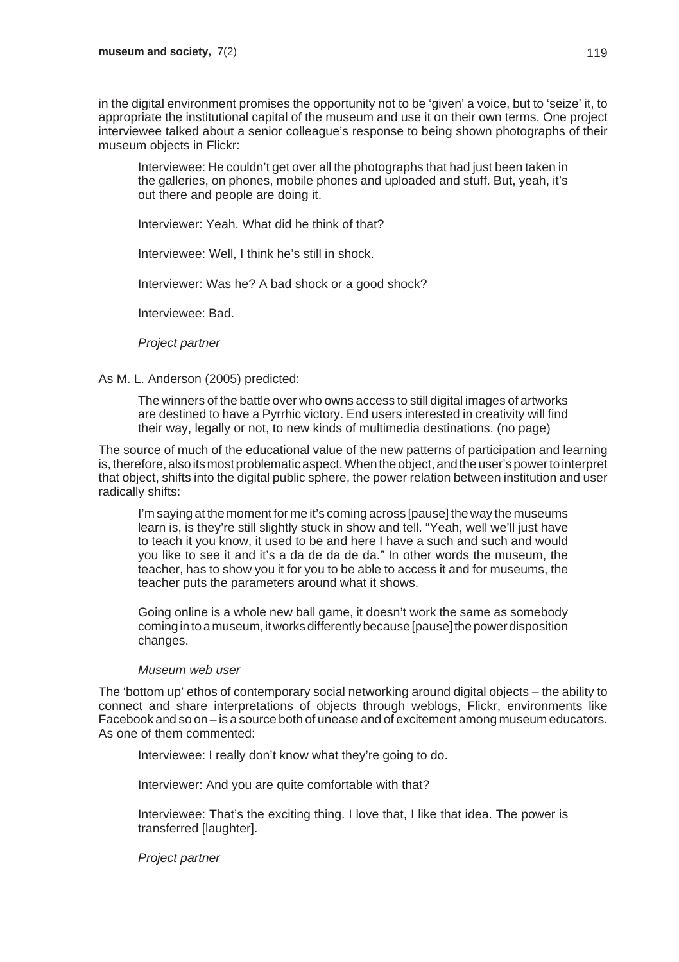in the digital environment promises the opportunity not to be 'given' a voice, but to 'seize' it, to appropriate the institutional capital of the museum and use it on their own terms. One project interviewee talked about a senior colleague's response to being shown photographs of their museum objects in Flickr:

Interviewee: He couldn't get over all the photographs that had just been taken in the galleries, on phones, mobile phones and uploaded and stuff. But, yeah, it's out there and people are doing it.

Interviewer: Yeah. What did he think of that?

Interviewee: Well, I think he's still in shock.

Interviewer: Was he? A bad shock or a good shock?

Interviewee: Bad.

*Project partner*

#### As M. L. Anderson (2005) predicted:

The winners of the battle over who owns access to still digital images of artworks are destined to have a Pyrrhic victory. End users interested in creativity will find their way, legally or not, to new kinds of multimedia destinations. (no page)

The source of much of the educational value of the new patterns of participation and learning is, therefore, also its most problematic aspect. When the object, and the user's power to interpret that object, shifts into the digital public sphere, the power relation between institution and user radically shifts:

I'm saying at the moment for me it's coming across [pause] the way the museums learn is, is they're still slightly stuck in show and tell. "Yeah, well we'll just have to teach it you know, it used to be and here I have a such and such and would you like to see it and it's a da de da de da." In other words the museum, the teacher, has to show you it for you to be able to access it and for museums, the teacher puts the parameters around what it shows.

Going online is a whole new ball game, it doesn't work the same as somebody coming in to a museum, it works differently because [pause] the power disposition changes.

#### *Museum web user*

The 'bottom up' ethos of contemporary social networking around digital objects – the ability to connect and share interpretations of objects through weblogs, Flickr, environments like Facebook and so on – is a source both of unease and of excitement among museum educators. As one of them commented:

Interviewee: I really don't know what they're going to do.

Interviewer: And you are quite comfortable with that?

Interviewee: That's the exciting thing. I love that, I like that idea. The power is transferred [laughter].

*Project partner*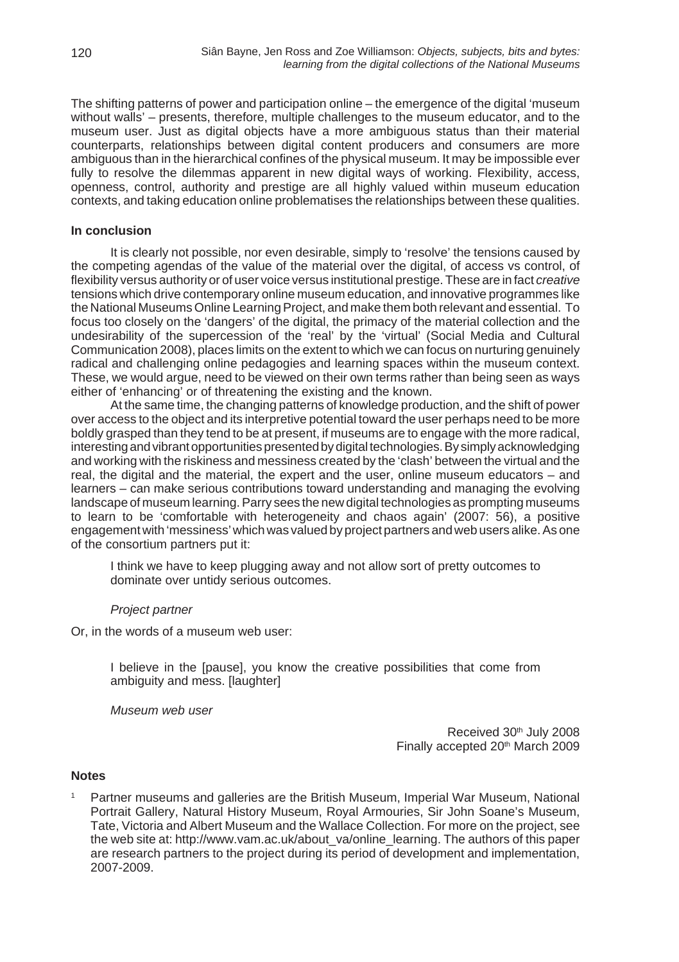The shifting patterns of power and participation online – the emergence of the digital 'museum without walls' – presents, therefore, multiple challenges to the museum educator, and to the museum user. Just as digital objects have a more ambiguous status than their material counterparts, relationships between digital content producers and consumers are more ambiguous than in the hierarchical confines of the physical museum. It may be impossible ever fully to resolve the dilemmas apparent in new digital ways of working. Flexibility, access, openness, control, authority and prestige are all highly valued within museum education contexts, and taking education online problematises the relationships between these qualities.

#### **In conclusion**

It is clearly not possible, nor even desirable, simply to 'resolve' the tensions caused by the competing agendas of the value of the material over the digital, of access vs control, of flexibility versus authority or of user voice versus institutional prestige. These are in fact *creative* tensions which drive contemporary online museum education, and innovative programmes like the National Museums Online Learning Project, and make them both relevant and essential. To focus too closely on the 'dangers' of the digital, the primacy of the material collection and the undesirability of the supercession of the 'real' by the 'virtual' (Social Media and Cultural Communication 2008), places limits on the extent to which we can focus on nurturing genuinely radical and challenging online pedagogies and learning spaces within the museum context. These, we would argue, need to be viewed on their own terms rather than being seen as ways either of 'enhancing' or of threatening the existing and the known.

At the same time, the changing patterns of knowledge production, and the shift of power over access to the object and its interpretive potential toward the user perhaps need to be more boldly grasped than they tend to be at present, if museums are to engage with the more radical, interesting and vibrant opportunities presented by digital technologies. By simply acknowledging and working with the riskiness and messiness created by the 'clash' between the virtual and the real, the digital and the material, the expert and the user, online museum educators – and learners – can make serious contributions toward understanding and managing the evolving landscape of museum learning. Parry sees the new digital technologies as prompting museums to learn to be 'comfortable with heterogeneity and chaos again' (2007: 56), a positive engagement with 'messiness' which was valued by project partners and web users alike. As one of the consortium partners put it:

I think we have to keep plugging away and not allow sort of pretty outcomes to dominate over untidy serious outcomes.

#### *Project partner*

Or, in the words of a museum web user:

I believe in the [pause], you know the creative possibilities that come from ambiguity and mess. [laughter]

*Museum web user*

Received 30th July 2008 Finally accepted 20<sup>th</sup> March 2009

#### **Notes**

<sup>1</sup> Partner museums and galleries are the British Museum, Imperial War Museum, National Portrait Gallery, Natural History Museum, Royal Armouries, Sir John Soane's Museum, Tate, Victoria and Albert Museum and the Wallace Collection. For more on the project, see the web site at: http://www.vam.ac.uk/about\_va/online\_learning. The authors of this paper are research partners to the project during its period of development and implementation, 2007-2009.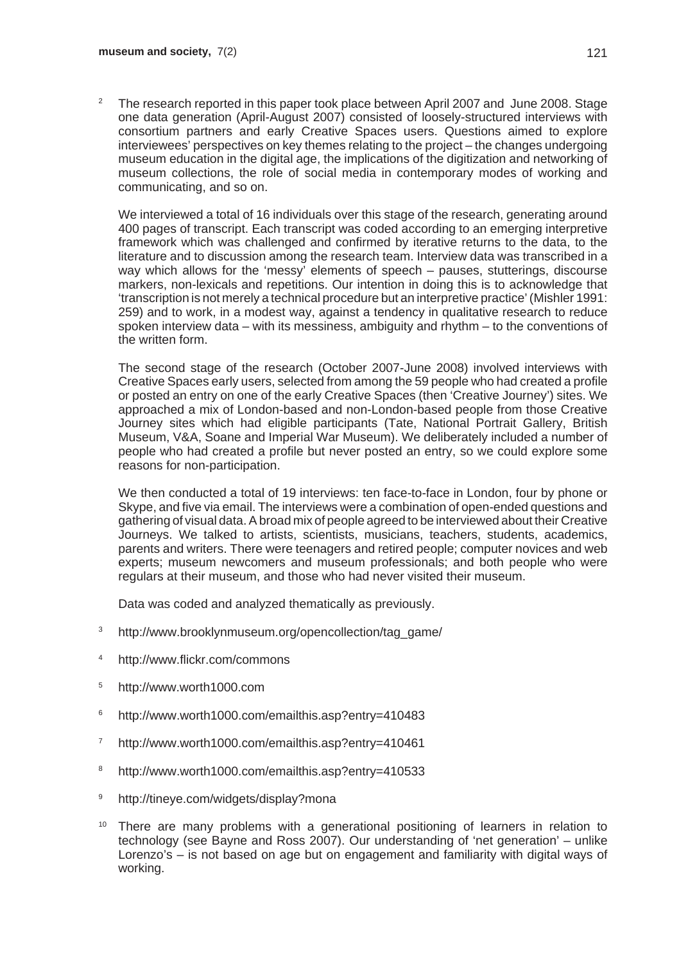<sup>2</sup> The research reported in this paper took place between April 2007 and June 2008. Stage one data generation (April-August 2007) consisted of loosely-structured interviews with consortium partners and early Creative Spaces users. Questions aimed to explore interviewees' perspectives on key themes relating to the project – the changes undergoing museum education in the digital age, the implications of the digitization and networking of museum collections, the role of social media in contemporary modes of working and communicating, and so on.

We interviewed a total of 16 individuals over this stage of the research, generating around 400 pages of transcript. Each transcript was coded according to an emerging interpretive framework which was challenged and confirmed by iterative returns to the data, to the literature and to discussion among the research team. Interview data was transcribed in a way which allows for the 'messy' elements of speech – pauses, stutterings, discourse markers, non-lexicals and repetitions. Our intention in doing this is to acknowledge that 'transcription is not merely a technical procedure but an interpretive practice' (Mishler 1991: 259) and to work, in a modest way, against a tendency in qualitative research to reduce spoken interview data – with its messiness, ambiguity and rhythm – to the conventions of the written form.

The second stage of the research (October 2007-June 2008) involved interviews with Creative Spaces early users, selected from among the 59 people who had created a profile or posted an entry on one of the early Creative Spaces (then 'Creative Journey') sites. We approached a mix of London-based and non-London-based people from those Creative Journey sites which had eligible participants (Tate, National Portrait Gallery, British Museum, V&A, Soane and Imperial War Museum). We deliberately included a number of people who had created a profile but never posted an entry, so we could explore some reasons for non-participation.

We then conducted a total of 19 interviews: ten face-to-face in London, four by phone or Skype, and five via email. The interviews were a combination of open-ended questions and gathering of visual data. A broad mix of people agreed to be interviewed about their Creative Journeys. We talked to artists, scientists, musicians, teachers, students, academics, parents and writers. There were teenagers and retired people; computer novices and web experts; museum newcomers and museum professionals; and both people who were regulars at their museum, and those who had never visited their museum.

Data was coded and analyzed thematically as previously.

- <sup>3</sup> http://www.brooklynmuseum.org/opencollection/tag\_game/
- <sup>4</sup> http://www.flickr.com/commons
- <sup>5</sup> http://www.worth1000.com
- <sup>6</sup> http://www.worth1000.com/emailthis.asp?entry=410483
- <sup>7</sup> http://www.worth1000.com/emailthis.asp?entry=410461
- <sup>8</sup> http://www.worth1000.com/emailthis.asp?entry=410533
- <sup>9</sup> http://tineye.com/widgets/display?mona
- There are many problems with a generational positioning of learners in relation to technology (see Bayne and Ross 2007). Our understanding of 'net generation' – unlike Lorenzo's – is not based on age but on engagement and familiarity with digital ways of working.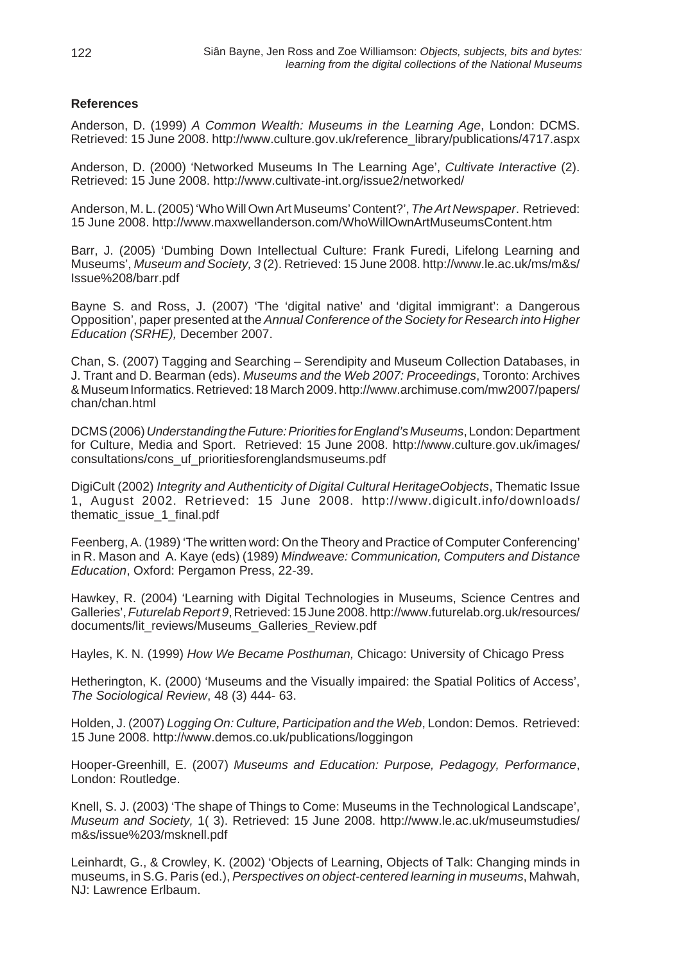#### **References**

Anderson, D. (1999) *A Common Wealth: Museums in the Learning Age*, London: DCMS. Retrieved: 15 June 2008. http://www.culture.gov.uk/reference\_library/publications/4717.aspx

Anderson, D. (2000) 'Networked Museums In The Learning Age', *Cultivate Interactive* (2). Retrieved: 15 June 2008. http://www.cultivate-int.org/issue2/networked/

Anderson, M. L. (2005) 'Who Will Own Art Museums' Content?', *The Art Newspaper*. Retrieved: 15 June 2008. http://www.maxwellanderson.com/WhoWillOwnArtMuseumsContent.htm

Barr, J. (2005) 'Dumbing Down Intellectual Culture: Frank Furedi, Lifelong Learning and Museums', *Museum and Society, 3* (2). Retrieved: 15 June 2008. http://www.le.ac.uk/ms/m&s/ Issue%208/barr.pdf

Bayne S. and Ross, J. (2007) 'The 'digital native' and 'digital immigrant': a Dangerous Opposition', paper presented at the *Annual Conference of the Society for Research into Higher Education (SRHE),* December 2007.

Chan, S. (2007) Tagging and Searching – Serendipity and Museum Collection Databases, in J. Trant and D. Bearman (eds). *Museums and the Web 2007: Proceedings*, Toronto: Archives & Museum Informatics. Retrieved: 18 March 2009. http://www.archimuse.com/mw2007/papers/ chan/chan.html

DCMS (2006) *Understanding the Future: Priorities for England's Museums*, London: Department for Culture, Media and Sport. Retrieved: 15 June 2008. http://www.culture.gov.uk/images/ consultations/cons\_uf\_prioritiesforenglandsmuseums.pdf

DigiCult (2002) *Integrity and Authenticity of Digital Cultural HeritageOobjects*, Thematic Issue 1, August 2002. Retrieved: 15 June 2008. http://www.digicult.info/downloads/ thematic\_issue\_1\_final.pdf

Feenberg, A. (1989) 'The written word: On the Theory and Practice of Computer Conferencing' in R. Mason and A. Kaye (eds) (1989) *Mindweave: Communication, Computers and Distance Education*, Oxford: Pergamon Press, 22-39.

Hawkey, R. (2004) 'Learning with Digital Technologies in Museums, Science Centres and Galleries', *Futurelab Report 9*, Retrieved: 15 June 2008. http://www.futurelab.org.uk/resources/ documents/lit\_reviews/Museums\_Galleries\_Review.pdf

Hayles, K. N. (1999) *How We Became Posthuman,* Chicago: University of Chicago Press

Hetherington, K. (2000) 'Museums and the Visually impaired: the Spatial Politics of Access', *The Sociological Review*, 48 (3) 444- 63.

Holden, J. (2007) *Logging On: Culture, Participation and the Web*, London: Demos. Retrieved: 15 June 2008. http://www.demos.co.uk/publications/loggingon

Hooper-Greenhill, E. (2007) *Museums and Education: Purpose, Pedagogy, Performance*, London: Routledge.

Knell, S. J. (2003) 'The shape of Things to Come: Museums in the Technological Landscape', *Museum and Society,* 1( 3). Retrieved: 15 June 2008. http://www.le.ac.uk/museumstudies/ m&s/issue%203/msknell.pdf

Leinhardt, G., & Crowley, K. (2002) 'Objects of Learning, Objects of Talk: Changing minds in museums, in S.G. Paris (ed.), *Perspectives on object-centered learning in museums*, Mahwah, NJ: Lawrence Erlbaum.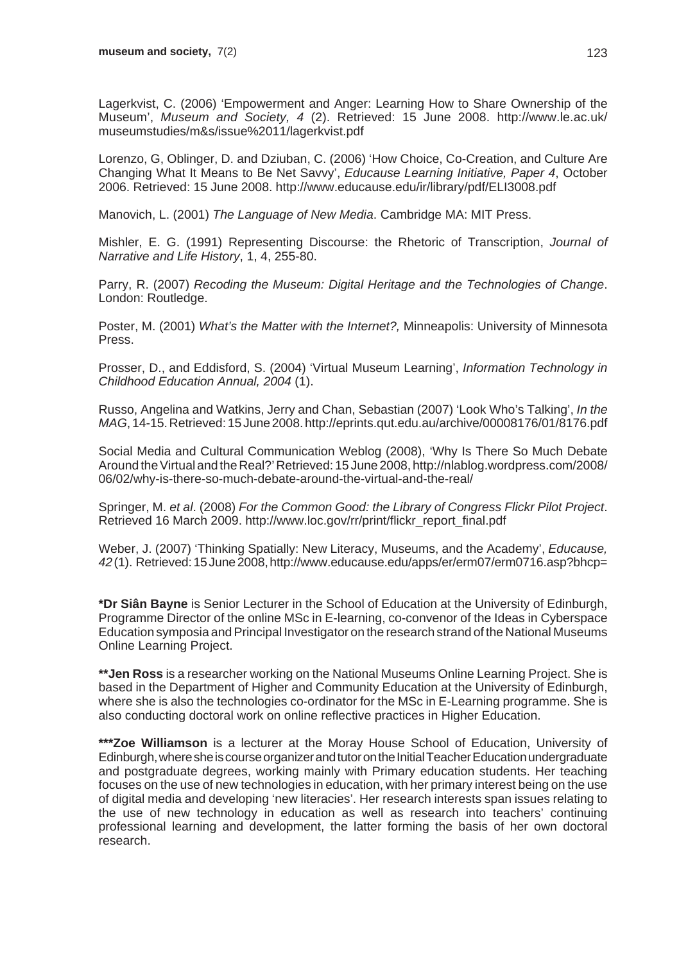Lagerkvist, C. (2006) 'Empowerment and Anger: Learning How to Share Ownership of the Museum', *Museum and Society, 4* (2). Retrieved: 15 June 2008. http://www.le.ac.uk/ museumstudies/m&s/issue%2011/lagerkvist.pdf

Lorenzo, G, Oblinger, D. and Dziuban, C. (2006) 'How Choice, Co-Creation, and Culture Are Changing What It Means to Be Net Savvy', *Educause Learning Initiative, Paper 4*, October 2006. Retrieved: 15 June 2008. http://www.educause.edu/ir/library/pdf/ELI3008.pdf

Manovich, L. (2001) *The Language of New Media*. Cambridge MA: MIT Press.

Mishler, E. G. (1991) Representing Discourse: the Rhetoric of Transcription, *Journal of Narrative and Life History*, 1, 4, 255-80.

Parry, R. (2007) *Recoding the Museum: Digital Heritage and the Technologies of Change*. London: Routledge.

Poster, M. (2001) *What's the Matter with the Internet?,* Minneapolis: University of Minnesota Press.

Prosser, D., and Eddisford, S. (2004) 'Virtual Museum Learning', *Information Technology in Childhood Education Annual, 2004* (1).

Russo, Angelina and Watkins, Jerry and Chan, Sebastian (2007) 'Look Who's Talking', *In the MAG*, 14-15. Retrieved: 15 June 2008. http://eprints.qut.edu.au/archive/00008176/01/8176.pdf

Social Media and Cultural Communication Weblog (2008), 'Why Is There So Much Debate Around the Virtual and the Real?' Retrieved: 15 June 2008, http://nlablog.wordpress.com/2008/ 06/02/why-is-there-so-much-debate-around-the-virtual-and-the-real/

Springer, M. *et al*. (2008) *For the Common Good: the Library of Congress Flickr Pilot Project*. Retrieved 16 March 2009. http://www.loc.gov/rr/print/flickr\_report\_final.pdf

Weber, J. (2007) 'Thinking Spatially: New Literacy, Museums, and the Academy', *Educause, 42* (1). Retrieved: 15 June 2008, http://www.educause.edu/apps/er/erm07/erm0716.asp?bhcp=

**\*Dr Siân Bayne** is Senior Lecturer in the School of Education at the University of Edinburgh, Programme Director of the online MSc in E-learning, co-convenor of the Ideas in Cyberspace Education symposia and Principal Investigator on the research strand of the National Museums Online Learning Project.

**\*\*Jen Ross** is a researcher working on the National Museums Online Learning Project. She is based in the Department of Higher and Community Education at the University of Edinburgh, where she is also the technologies co-ordinator for the MSc in E-Learning programme. She is also conducting doctoral work on online reflective practices in Higher Education.

**\*\*\*Zoe Williamson** is a lecturer at the Moray House School of Education, University of Edinburgh, where she is course organizer and tutor on the Initial Teacher Education undergraduate and postgraduate degrees, working mainly with Primary education students. Her teaching focuses on the use of new technologies in education, with her primary interest being on the use of digital media and developing 'new literacies'. Her research interests span issues relating to the use of new technology in education as well as research into teachers' continuing professional learning and development, the latter forming the basis of her own doctoral research.